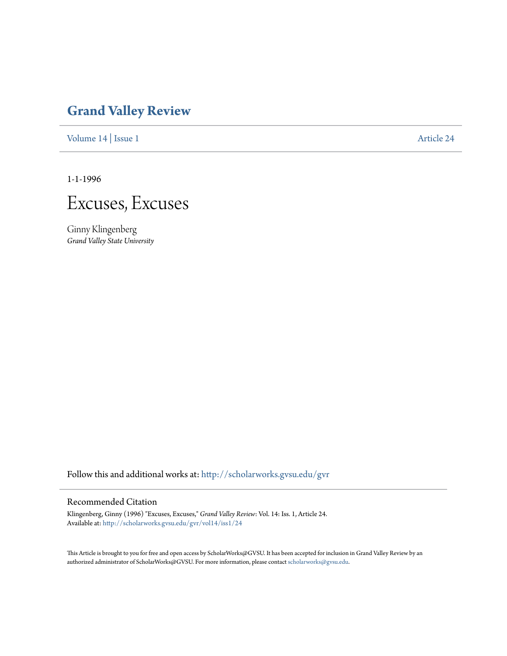## **[Grand Valley Review](http://scholarworks.gvsu.edu/gvr?utm_source=scholarworks.gvsu.edu%2Fgvr%2Fvol14%2Fiss1%2F24&utm_medium=PDF&utm_campaign=PDFCoverPages)**

[Volume 14](http://scholarworks.gvsu.edu/gvr/vol14?utm_source=scholarworks.gvsu.edu%2Fgvr%2Fvol14%2Fiss1%2F24&utm_medium=PDF&utm_campaign=PDFCoverPages) | [Issue 1](http://scholarworks.gvsu.edu/gvr/vol14/iss1?utm_source=scholarworks.gvsu.edu%2Fgvr%2Fvol14%2Fiss1%2F24&utm_medium=PDF&utm_campaign=PDFCoverPages) [Article 24](http://scholarworks.gvsu.edu/gvr/vol14/iss1/24?utm_source=scholarworks.gvsu.edu%2Fgvr%2Fvol14%2Fiss1%2F24&utm_medium=PDF&utm_campaign=PDFCoverPages)

1-1-1996



Ginny Klingenberg *Grand Valley State University*

Follow this and additional works at: [http://scholarworks.gvsu.edu/gvr](http://scholarworks.gvsu.edu/gvr?utm_source=scholarworks.gvsu.edu%2Fgvr%2Fvol14%2Fiss1%2F24&utm_medium=PDF&utm_campaign=PDFCoverPages)

## Recommended Citation

Klingenberg, Ginny (1996) "Excuses, Excuses," *Grand Valley Review*: Vol. 14: Iss. 1, Article 24. Available at: [http://scholarworks.gvsu.edu/gvr/vol14/iss1/24](http://scholarworks.gvsu.edu/gvr/vol14/iss1/24?utm_source=scholarworks.gvsu.edu%2Fgvr%2Fvol14%2Fiss1%2F24&utm_medium=PDF&utm_campaign=PDFCoverPages)

This Article is brought to you for free and open access by ScholarWorks@GVSU. It has been accepted for inclusion in Grand Valley Review by an authorized administrator of ScholarWorks@GVSU. For more information, please contact [scholarworks@gvsu.edu.](mailto:scholarworks@gvsu.edu)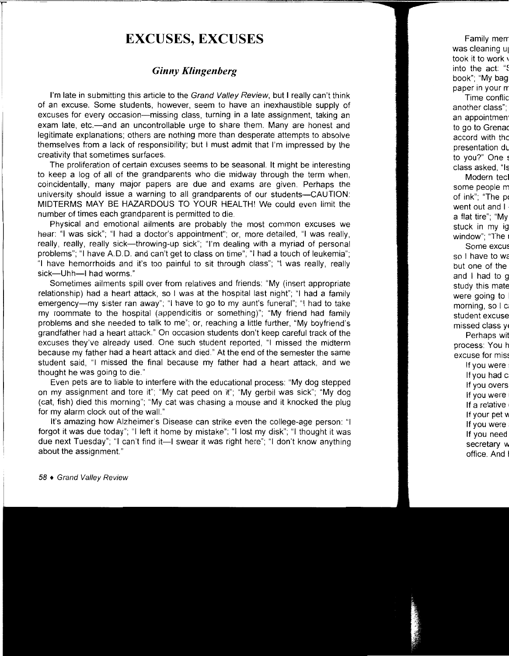## **EXCUSES, EXCUSES**

## *Ginny Klingenberg*

I'm late in submitting this article to the Grand Valley Review, but I really can't think of an excuse. Some students, however, seem to have an inexhaustible supply of excuses for every occasion—missing class, turning in a late assignment, taking an exam late, etc.—and an uncontrollable urge to share them. Many are honest and legitimate explanations; others are nothing more than desperate attempts to absolve themselves from a lack of responsibility; but I must admit that I'm impressed by the creativity that sometimes surfaces.

The proliferation of certain excuses seems to be seasonal. It might be interesting to keep a log of all of the grandparents who die midway through the term when, coincidentally, many major papers are due and exams are given. Perhaps the university should issue a warning to all grandparents of our students-CAUTION: MIDTERMS MAY BE HAZARDOUS TO YOUR HEALTH! We could even limit the number of times each grandparent is permitted to die.

Physical and emotional ailments are probably the most common excuses we hear: "I was sick"; "I had a doctor's appointment"; or, more detailed, "I was really, really, really, really sick-throwing-up sick"; "I'm dealing with a myriad of personal problems"; "I have A.D.D. and can't get to class on time"; "I had a touch of leukemia"; "I have hemorrhoids and it's too painful to sit through class"; "I was really, really sick-Uhh-I had worms."

Sometimes ailments spill over from relatives and friends: "My (insert appropriate relationship) had a heart attack, so I was at the hospital last night"; "I had a family emergency-my sister ran away"; "I have to go to my aunt's funeral"; "I had to take my roommate to the hospital (appendicitis or something)"; "My friend had family problems and she needed to talk to me"; or, reaching a little further, "My boyfriend's grandfather had a heart attack." On occasion students don't keep careful track of the excuses they've already used. One such student reported, "I missed the midterm because my father had a heart attack and died." At the end of the semester the same student said, "I missed the final because my father had a heart attack, and we thought he was going to die."

Even pets are to liable to interfere with the educational process: "My dog stepped on my assignment and tore it"; "My cat peed on it"; "My gerbil was sick"; "My dog (cat, fish) died this morning"; "My cat was chasing a mouse and it knocked the plug for my alarm clock out of the wall."

It's amazing how Alzheimer's Disease can strike even the college-age person: "I forgot it was due today"; "I left it home by mistake"; "I lost my disk"; "I thought it was due next Tuesday"; "I can't find it--I swear it was right here"; "I don't know anything about the assignment."